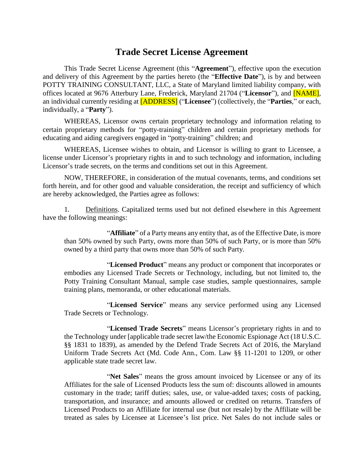# **Trade Secret License Agreement**

This Trade Secret License Agreement (this "**Agreement**"), effective upon the execution and delivery of this Agreement by the parties hereto (the "**Effective Date**"), is by and between POTTY TRAINING CONSULTANT, LLC, a State of Maryland limited liability company, with offices located at 9676 Atterbury Lane, Frederick, Maryland 21704 ("**Licensor**"), and [NAME], an individual currently residing at [ADDRESS] ("**Licensee**") (collectively, the "**Parties**," or each, individually, a "**Party**").

WHEREAS, Licensor owns certain proprietary technology and information relating to certain proprietary methods for "potty-training" children and certain proprietary methods for educating and aiding caregivers engaged in "potty-training" children; and

WHEREAS, Licensee wishes to obtain, and Licensor is willing to grant to Licensee, a license under Licensor's proprietary rights in and to such technology and information, including Licensor's trade secrets, on the terms and conditions set out in this Agreement.

NOW, THEREFORE, in consideration of the mutual covenants, terms, and conditions set forth herein, and for other good and valuable consideration, the receipt and sufficiency of which are hereby acknowledged, the Parties agree as follows:

1. Definitions. Capitalized terms used but not defined elsewhere in this Agreement have the following meanings:

"**Affiliate**" of a Party means any entity that, as of the Effective Date, is more than 50% owned by such Party, owns more than 50% of such Party, or is more than 50% owned by a third party that owns more than 50% of such Party.

"**Licensed Product**" means any product or component that incorporates or embodies any Licensed Trade Secrets or Technology, including, but not limited to, the Potty Training Consultant Manual, sample case studies, sample questionnaires, sample training plans, memoranda, or other educational materials.

"**Licensed Service**" means any service performed using any Licensed Trade Secrets or Technology.

"**Licensed Trade Secrets**" means Licensor's proprietary rights in and to the Technology under [applicable trade secret law/the Economic Espionage Act (18 U.S.C. §§ 1831 to 1839), as amended by the Defend Trade Secrets Act of 2016, the Maryland Uniform Trade Secrets Act (Md. Code Ann., Com. Law §§ 11-1201 to 1209, or other applicable state trade secret law.

"**Net Sales**" means the gross amount invoiced by Licensee or any of its Affiliates for the sale of Licensed Products less the sum of: discounts allowed in amounts customary in the trade; tariff duties; sales, use, or value-added taxes; costs of packing, transportation, and insurance; and amounts allowed or credited on returns. Transfers of Licensed Products to an Affiliate for internal use (but not resale) by the Affiliate will be treated as sales by Licensee at Licensee's list price. Net Sales do not include sales or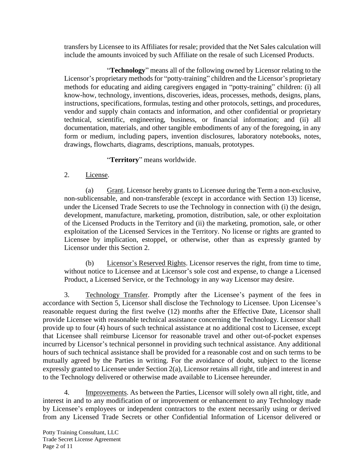transfers by Licensee to its Affiliates for resale; provided that the Net Sales calculation will include the amounts invoiced by such Affiliate on the resale of such Licensed Products.

"**Technology**" means all of the following owned by Licensor relating to the Licensor's proprietary methods for "potty-training" children and the Licensor's proprietary methods for educating and aiding caregivers engaged in "potty-training" children: (i) all know-how, technology, inventions, discoveries, ideas, processes, methods, designs, plans, instructions, specifications, formulas, testing and other protocols, settings, and procedures, vendor and supply chain contacts and information, and other confidential or proprietary technical, scientific, engineering, business, or financial information; and (ii) all documentation, materials, and other tangible embodiments of any of the foregoing, in any form or medium, including papers, invention disclosures, laboratory notebooks, notes, drawings, flowcharts, diagrams, descriptions, manuals, prototypes.

"**Territory**" means worldwide.

## <span id="page-1-0"></span>2. License.

<span id="page-1-1"></span>(a) Grant. Licensor hereby grants to Licensee during the Term a non-exclusive, non-sublicensable, and non-transferable (except in accordance with Section [13\)](#page-7-0) license, under the Licensed Trade Secrets to use the Technology in connection with (i) the design, development, manufacture, marketing, promotion, distribution, sale, or other exploitation of the Licensed Products in the Territory and (ii) the marketing, promotion, sale, or other exploitation of the Licensed Services in the Territory. No license or rights are granted to Licensee by implication, estoppel, or otherwise, other than as expressly granted by Licensor under this Section [2.](#page-1-0)

(b) Licensor's Reserved Rights. Licensor reserves the right, from time to time, without notice to Licensee and at Licensor's sole cost and expense, to change a Licensed Product, a Licensed Service, or the Technology in any way Licensor may desire.

<span id="page-1-2"></span>3. Technology Transfer. Promptly after the Licensee's payment of the fees in accordance with Section 5, Licensor shall disclose the Technology to Licensee. Upon Licensee's reasonable request during the first twelve (12) months after the Effective Date, Licensor shall provide Licensee with reasonable technical assistance concerning the Technology. Licensor shall provide up to four (4) hours of such technical assistance at no additional cost to Licensee, except that Licensee shall reimburse Licensor for reasonable travel and other out-of-pocket expenses incurred by Licensor's technical personnel in providing such technical assistance. Any additional hours of such technical assistance shall be provided for a reasonable cost and on such terms to be mutually agreed by the Parties in writing. For the avoidance of doubt, subject to the license expressly granted to Licensee under Section [2\(a\),](#page-1-1) Licensor retains all right, title and interest in and to the Technology delivered or otherwise made available to Licensee hereunder.

4. Improvements. As between the Parties, Licensor will solely own all right, title, and interest in and to any modification of or improvement or enhancement to any Technology made by Licensee's employees or independent contractors to the extent necessarily using or derived from any Licensed Trade Secrets or other Confidential Information of Licensor delivered or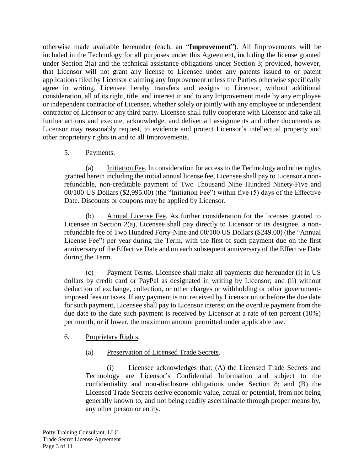otherwise made available hereunder (each, an "**Improvement**"). All Improvements will be included in the Technology for all purposes under this Agreement, including the license granted under Section [2\(a\)](#page-1-1) and the technical assistance obligations under Section [3;](#page-1-2) provided, however, that Licensor will not grant any license to Licensee under any patents issued to or patent applications filed by Licensor claiming any Improvement unless the Parties otherwise specifically agree in writing. Licensee hereby transfers and assigns to Licensor, without additional consideration, all of its right, title, and interest in and to any Improvement made by any employee or independent contractor of Licensee, whether solely or jointly with any employee or independent contractor of Licensor or any third party. Licensee shall fully cooperate with Licensor and take all further actions and execute, acknowledge, and deliver all assignments and other documents as Licensor may reasonably request, to evidence and protect Licensor's intellectual property and other proprietary rights in and to all Improvements.

## 5. Payments.

(a) Initiation Fee. In consideration for access to the Technology and other rights granted herein including the initial annual license fee, Licensee shall pay to Licensor a nonrefundable, non-creditable payment of Two Thousand Nine Hundred Ninety-Five and 00/100 US Dollars (\$2,995.00) (the "Initiation Fee") within five (5) days of the Effective Date. Discounts or coupons may be applied by Licensor.

(b) Annual License Fee. As further consideration for the licenses granted to Licensee in Section 2(a), Licensee shall pay directly to Licensor or its designee, a nonrefundable fee of Two Hundred Forty-Nine and 00/100 US Dollars (\$249.00) (the "Annual License Fee") per year during the Term, with the first of such payment due on the first anniversary of the Effective Date and on each subsequent anniversary of the Effective Date during the Term.

(c) Payment Terms. Licensee shall make all payments due hereunder (i) in US dollars by credit card or PayPal as designated in writing by Licensor; and (ii) without deduction of exchange, collection, or other charges or withholding or other governmentimposed fees or taxes. If any payment is not received by Licensor on or before the due date for such payment, Licensee shall pay to Licensor interest on the overdue payment from the due date to the date such payment is received by Licensor at a rate of ten percent (10%) per month, or if lower, the maximum amount permitted under applicable law.

## <span id="page-2-0"></span>6. Proprietary Rights.

## (a) Preservation of Licensed Trade Secrets.

(i) Licensee acknowledges that: (A) the Licensed Trade Secrets and Technology are Licensor's Confidential Information and subject to the confidentiality and non-disclosure obligations under Section [8;](#page-3-0) and (B) the Licensed Trade Secrets derive economic value, actual or potential, from not being generally known to, and not being readily ascertainable through proper means by, any other person or entity.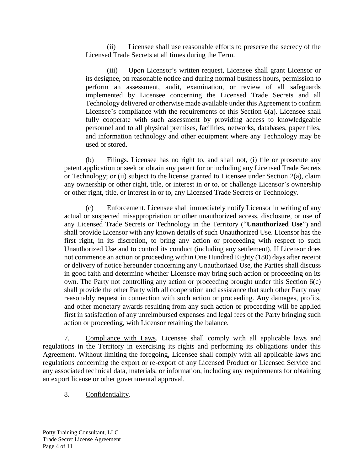(ii) Licensee shall use reasonable efforts to preserve the secrecy of the Licensed Trade Secrets at all times during the Term.

(iii) Upon Licensor's written request, Licensee shall grant Licensor or its designee, on reasonable notice and during normal business hours, permission to perform an assessment, audit, examination, or review of all safeguards implemented by Licensee concerning the Licensed Trade Secrets and all Technology delivered or otherwise made available under this Agreement to confirm Licensee's compliance with the requirements of this Section [6\(a\).](#page-2-0) Licensee shall fully cooperate with such assessment by providing access to knowledgeable personnel and to all physical premises, facilities, networks, databases, paper files, and information technology and other equipment where any Technology may be used or stored.

(b) Filings. Licensee has no right to, and shall not, (i) file or prosecute any patent application or seek or obtain any patent for or including any Licensed Trade Secrets or Technology; or (ii) subject to the license granted to Licensee under Section [2\(a\),](#page-1-1) claim any ownership or other right, title, or interest in or to, or challenge Licensor's ownership or other right, title, or interest in or to, any Licensed Trade Secrets or Technology.

<span id="page-3-1"></span>(c) Enforcement. Licensee shall immediately notify Licensor in writing of any actual or suspected misappropriation or other unauthorized access, disclosure, or use of any Licensed Trade Secrets or Technology in the Territory ("**Unauthorized Use**") and shall provide Licensor with any known details of such Unauthorized Use. Licensor has the first right, in its discretion, to bring any action or proceeding with respect to such Unauthorized Use and to control its conduct (including any settlement). If Licensor does not commence an action or proceeding within One Hundred Eighty (180) days after receipt or delivery of notice hereunder concerning any Unauthorized Use, the Parties shall discuss in good faith and determine whether Licensee may bring such action or proceeding on its own. The Party not controlling any action or proceeding brought under this Section [6\(c\)](#page-3-1) shall provide the other Party with all cooperation and assistance that such other Party may reasonably request in connection with such action or proceeding. Any damages, profits, and other monetary awards resulting from any such action or proceeding will be applied first in satisfaction of any unreimbursed expenses and legal fees of the Party bringing such action or proceeding, with Licensor retaining the balance.

7. Compliance with Laws. Licensee shall comply with all applicable laws and regulations in the Territory in exercising its rights and performing its obligations under this Agreement. Without limiting the foregoing, Licensee shall comply with all applicable laws and regulations concerning the export or re-export of any Licensed Product or Licensed Service and any associated technical data, materials, or information, including any requirements for obtaining an export license or other governmental approval.

<span id="page-3-0"></span>8. Confidentiality.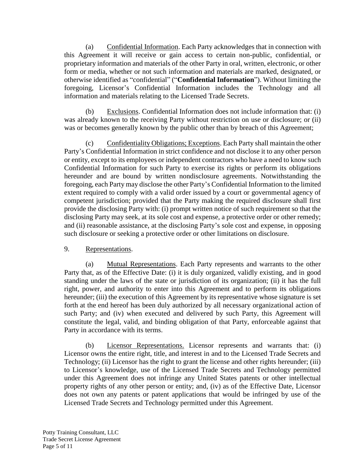(a) Confidential Information. Each Party acknowledges that in connection with this Agreement it will receive or gain access to certain non-public, confidential, or proprietary information and materials of the other Party in oral, written, electronic, or other form or media, whether or not such information and materials are marked, designated, or otherwise identified as "confidential" ("**Confidential Information**"). Without limiting the foregoing, Licensor's Confidential Information includes the Technology and all information and materials relating to the Licensed Trade Secrets.

Exclusions. Confidential Information does not include information that: (i) was already known to the receiving Party without restriction on use or disclosure; or (ii) was or becomes generally known by the public other than by breach of this Agreement;

(c) Confidentiality Obligations; Exceptions. Each Party shall maintain the other Party's Confidential Information in strict confidence and not disclose it to any other person or entity, except to its employees or independent contractors who have a need to know such Confidential Information for such Party to exercise its rights or perform its obligations hereunder and are bound by written nondisclosure agreements. Notwithstanding the foregoing, each Party may disclose the other Party's Confidential Information to the limited extent required to comply with a valid order issued by a court or governmental agency of competent jurisdiction; provided that the Party making the required disclosure shall first provide the disclosing Party with: (i) prompt written notice of such requirement so that the disclosing Party may seek, at its sole cost and expense, a protective order or other remedy; and (ii) reasonable assistance, at the disclosing Party's sole cost and expense, in opposing such disclosure or seeking a protective order or other limitations on disclosure.

## <span id="page-4-0"></span>9. Representations.

(a) Mutual Representations. Each Party represents and warrants to the other Party that, as of the Effective Date: (i) it is duly organized, validly existing, and in good standing under the laws of the state or jurisdiction of its organization; (ii) it has the full right, power, and authority to enter into this Agreement and to perform its obligations hereunder; (iii) the execution of this Agreement by its representative whose signature is set forth at the end hereof has been duly authorized by all necessary organizational action of such Party; and (iv) when executed and delivered by such Party, this Agreement will constitute the legal, valid, and binding obligation of that Party, enforceable against that Party in accordance with its terms.

(b) Licensor Representations. Licensor represents and warrants that: (i) Licensor owns the entire right, title, and interest in and to the Licensed Trade Secrets and Technology; (ii) Licensor has the right to grant the license and other rights hereunder; (iii) to Licensor's knowledge, use of the Licensed Trade Secrets and Technology permitted under this Agreement does not infringe any United States patents or other intellectual property rights of any other person or entity; and, (iv) as of the Effective Date, Licensor does not own any patents or patent applications that would be infringed by use of the Licensed Trade Secrets and Technology permitted under this Agreement.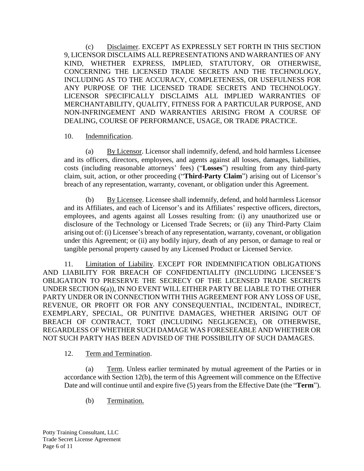(c) Disclaimer. EXCEPT AS EXPRESSLY SET FORTH IN THIS SECTION [9,](#page-4-0) LICENSOR DISCLAIMS ALL REPRESENTATIONS AND WARRANTIES OF ANY KIND, WHETHER EXPRESS, IMPLIED, STATUTORY, OR OTHERWISE, CONCERNING THE LICENSED TRADE SECRETS AND THE TECHNOLOGY, INCLUDING AS TO THE ACCURACY, COMPLETENESS, OR USEFULNESS FOR ANY PURPOSE OF THE LICENSED TRADE SECRETS AND TECHNOLOGY. LICENSOR SPECIFICALLY DISCLAIMS ALL IMPLIED WARRANTIES OF MERCHANTABILITY, QUALITY, FITNESS FOR A PARTICULAR PURPOSE, AND NON-INFRINGEMENT AND WARRANTIES ARISING FROM A COURSE OF DEALING, COURSE OF PERFORMANCE, USAGE, OR TRADE PRACTICE.

#### <span id="page-5-1"></span>10. Indemnification.

(a) By Licensor. Licensor shall indemnify, defend, and hold harmless Licensee and its officers, directors, employees, and agents against all losses, damages, liabilities, costs (including reasonable attorneys' fees) ("**Losses**") resulting from any third-party claim, suit, action, or other proceeding ("**Third-Party Claim**") arising out of Licensor's breach of any representation, warranty, covenant, or obligation under this Agreement.

(b) By Licensee. Licensee shall indemnify, defend, and hold harmless Licensor and its Affiliates, and each of Licensor's and its Affiliates' respective officers, directors, employees, and agents against all Losses resulting from: (i) any unauthorized use or disclosure of the Technology or Licensed Trade Secrets; or (ii) any Third-Party Claim arising out of: (i) Licensee's breach of any representation, warranty, covenant, or obligation under this Agreement; or (ii) any bodily injury, death of any person, or damage to real or tangible personal property caused by any Licensed Product or Licensed Service.

<span id="page-5-2"></span>11. Limitation of Liability. EXCEPT FOR INDEMNIFICATION OBLIGATIONS AND LIABILITY FOR BREACH OF CONFIDENTIALITY (INCLUDING LICENSEE'S OBLIGATION TO PRESERVE THE SECRECY OF THE LICENSED TRADE SECRETS UNDER SECTION [6\(a\)\)](#page-2-0), IN NO EVENT WILL EITHER PARTY BE LIABLE TO THE OTHER PARTY UNDER OR IN CONNECTION WITH THIS AGREEMENT FOR ANY LOSS OF USE, REVENUE, OR PROFIT OR FOR ANY CONSEQUENTIAL, INCIDENTAL, INDIRECT, EXEMPLARY, SPECIAL, OR PUNITIVE DAMAGES, WHETHER ARISING OUT OF BREACH OF CONTRACT, TORT (INCLUDING NEGLIGENCE), OR OTHERWISE, REGARDLESS OF WHETHER SUCH DAMAGE WAS FORESEEABLE AND WHETHER OR NOT SUCH PARTY HAS BEEN ADVISED OF THE POSSIBILITY OF SUCH DAMAGES.

## 12. Term and Termination.

<span id="page-5-0"></span>(a) Term. Unless earlier terminated by mutual agreement of the Parties or in accordance with Section [12\(b\),](#page-5-0) the term of this Agreement will commence on the Effective Date and will continue until and expire five (5) years from the Effective Date (the "**Term**").

(b) Termination.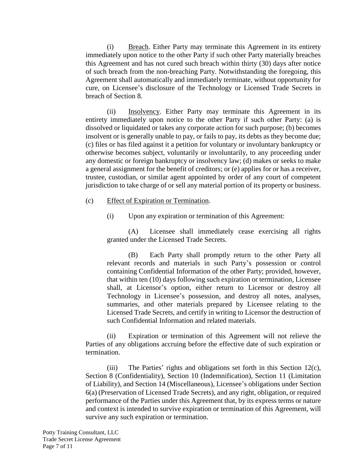(i) Breach. Either Party may terminate this Agreement in its entirety immediately upon notice to the other Party if such other Party materially breaches this Agreement and has not cured such breach within thirty (30) days after notice of such breach from the non-breaching Party. Notwithstanding the foregoing, this Agreement shall automatically and immediately terminate, without opportunity for cure, on Licensee's disclosure of the Technology or Licensed Trade Secrets in breach of Section [8.](#page-3-0)

(ii) Insolvency. Either Party may terminate this Agreement in its entirety immediately upon notice to the other Party if such other Party: (a) is dissolved or liquidated or takes any corporate action for such purpose; (b) becomes insolvent or is generally unable to pay, or fails to pay, its debts as they become due; (c) files or has filed against it a petition for voluntary or involuntary bankruptcy or otherwise becomes subject, voluntarily or involuntarily, to any proceeding under any domestic or foreign bankruptcy or insolvency law; (d) makes or seeks to make a general assignment for the benefit of creditors; or (e) applies for or has a receiver, trustee, custodian, or similar agent appointed by order of any court of competent jurisdiction to take charge of or sell any material portion of its property or business.

- <span id="page-6-0"></span>(c) Effect of Expiration or Termination.
	- (i) Upon any expiration or termination of this Agreement:

(A) Licensee shall immediately cease exercising all rights granted under the Licensed Trade Secrets.

(B) Each Party shall promptly return to the other Party all relevant records and materials in such Party's possession or control containing Confidential Information of the other Party; provided, however, that within ten (10) days following such expiration or termination, Licensee shall, at Licensor's option, either return to Licensor or destroy all Technology in Licensee's possession, and destroy all notes, analyses, summaries, and other materials prepared by Licensee relating to the Licensed Trade Secrets, and certify in writing to Licensor the destruction of such Confidential Information and related materials.

(ii) Expiration or termination of this Agreement will not relieve the Parties of any obligations accruing before the effective date of such expiration or termination.

(iii) The Parties' rights and obligations set forth in this Section [12\(c\),](#page-6-0) Section [8](#page-3-0) (Confidentiality), Section [10](#page-5-1) (Indemnification), Section [11](#page-5-2) (Limitation of Liability), and Section [14](#page-7-1) (Miscellaneous), Licensee's obligations under Section [6\(a\)](#page-2-0) (Preservation of Licensed Trade Secrets), and any right, obligation, or required performance of the Parties under this Agreement that, by its express terms or nature and context is intended to survive expiration or termination of this Agreement, will survive any such expiration or termination.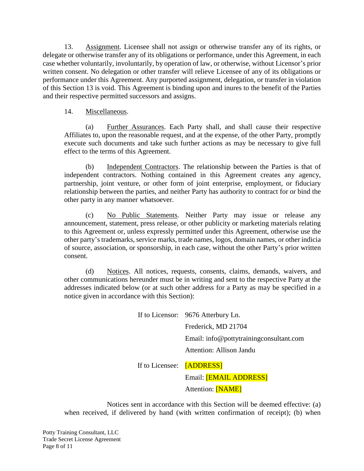<span id="page-7-0"></span>13. Assignment. Licensee shall not assign or otherwise transfer any of its rights, or delegate or otherwise transfer any of its obligations or performance, under this Agreement, in each case whether voluntarily, involuntarily, by operation of law, or otherwise, without Licensor's prior written consent. No delegation or other transfer will relieve Licensee of any of its obligations or performance under this Agreement. Any purported assignment, delegation, or transfer in violation of this Section 13 is void. This Agreement is binding upon and inures to the benefit of the Parties and their respective permitted successors and assigns.

#### <span id="page-7-1"></span>14. Miscellaneous.

(a) Further Assurances. Each Party shall, and shall cause their respective Affiliates to, upon the reasonable request, and at the expense, of the other Party, promptly execute such documents and take such further actions as may be necessary to give full effect to the terms of this Agreement.

(b) Independent Contractors. The relationship between the Parties is that of independent contractors. Nothing contained in this Agreement creates any agency, partnership, joint venture, or other form of joint enterprise, employment, or fiduciary relationship between the parties, and neither Party has authority to contract for or bind the other party in any manner whatsoever.

(c) No Public Statements. Neither Party may issue or release any announcement, statement, press release, or other publicity or marketing materials relating to this Agreement or, unless expressly permitted under this Agreement, otherwise use the other party's trademarks, service marks, trade names, logos, domain names, or other indicia of source, association, or sponsorship, in each case, without the other Party's prior written consent.

(d) Notices. All notices, requests, consents, claims, demands, waivers, and other communications hereunder must be in writing and sent to the respective Party at the addresses indicated below (or at such other address for a Party as may be specified in a notice given in accordance with this Section):

|                           | If to Licensor: 9676 Atterbury Ln.      |
|---------------------------|-----------------------------------------|
|                           | Frederick, MD 21704                     |
|                           | Email: info@pottytrainingconsultant.com |
|                           | Attention: Allison Jandu                |
| If to Licensee: [ADDRESS] |                                         |
|                           | Email: [EMAIL ADDRESS]                  |

Attention: [NAME]

Notices sent in accordance with this Section will be deemed effective: (a) when received, if delivered by hand (with written confirmation of receipt); (b) when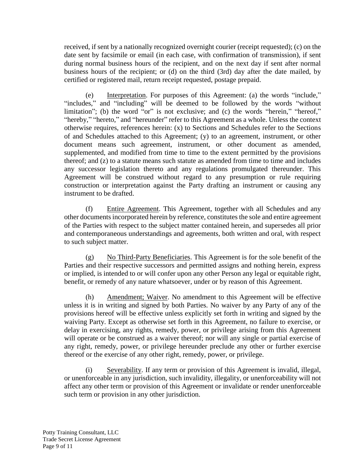received, if sent by a nationally recognized overnight courier (receipt requested); (c) on the date sent by facsimile or email (in each case, with confirmation of transmission), if sent during normal business hours of the recipient, and on the next day if sent after normal business hours of the recipient; or (d) on the third (3rd) day after the date mailed, by certified or registered mail, return receipt requested, postage prepaid.

(e) Interpretation. For purposes of this Agreement: (a) the words "include," "includes," and "including" will be deemed to be followed by the words "without" limitation"; (b) the word "or" is not exclusive; and (c) the words "herein," "hereof," "hereby," "hereto," and "hereunder" refer to this Agreement as a whole. Unless the context otherwise requires, references herein: (x) to Sections and Schedules refer to the Sections of and Schedules attached to this Agreement; (y) to an agreement, instrument, or other document means such agreement, instrument, or other document as amended, supplemented, and modified from time to time to the extent permitted by the provisions thereof; and (z) to a statute means such statute as amended from time to time and includes any successor legislation thereto and any regulations promulgated thereunder. This Agreement will be construed without regard to any presumption or rule requiring construction or interpretation against the Party drafting an instrument or causing any instrument to be drafted.

(f) Entire Agreement. This Agreement, together with all Schedules and any other documents incorporated herein by reference, constitutes the sole and entire agreement of the Parties with respect to the subject matter contained herein, and supersedes all prior and contemporaneous understandings and agreements, both written and oral, with respect to such subject matter.

(g) No Third-Party Beneficiaries. This Agreement is for the sole benefit of the Parties and their respective successors and permitted assigns and nothing herein, express or implied, is intended to or will confer upon any other Person any legal or equitable right, benefit, or remedy of any nature whatsoever, under or by reason of this Agreement.

(h) Amendment; Waiver. No amendment to this Agreement will be effective unless it is in writing and signed by both Parties. No waiver by any Party of any of the provisions hereof will be effective unless explicitly set forth in writing and signed by the waiving Party. Except as otherwise set forth in this Agreement, no failure to exercise, or delay in exercising, any rights, remedy, power, or privilege arising from this Agreement will operate or be construed as a waiver thereof; nor will any single or partial exercise of any right, remedy, power, or privilege hereunder preclude any other or further exercise thereof or the exercise of any other right, remedy, power, or privilege.

(i) Severability. If any term or provision of this Agreement is invalid, illegal, or unenforceable in any jurisdiction, such invalidity, illegality, or unenforceability will not affect any other term or provision of this Agreement or invalidate or render unenforceable such term or provision in any other jurisdiction.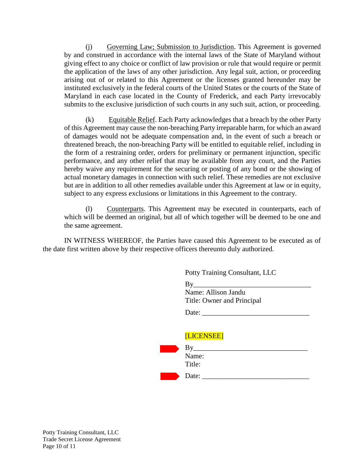(j) Governing Law; Submission to Jurisdiction. This Agreement is governed by and construed in accordance with the internal laws of the State of Maryland without giving effect to any choice or conflict of law provision or rule that would require or permit the application of the laws of any other jurisdiction. Any legal suit, action, or proceeding arising out of or related to this Agreement or the licenses granted hereunder may be instituted exclusively in the federal courts of the United States or the courts of the State of Maryland in each case located in the County of Frederick, and each Party irrevocably submits to the exclusive jurisdiction of such courts in any such suit, action, or proceeding.

(k) Equitable Relief. Each Party acknowledges that a breach by the other Party of this Agreement may cause the non-breaching Party irreparable harm, for which an award of damages would not be adequate compensation and, in the event of such a breach or threatened breach, the non-breaching Party will be entitled to equitable relief, including in the form of a restraining order, orders for preliminary or permanent injunction, specific performance, and any other relief that may be available from any court, and the Parties hereby waive any requirement for the securing or posting of any bond or the showing of actual monetary damages in connection with such relief. These remedies are not exclusive but are in addition to all other remedies available under this Agreement at law or in equity, subject to any express exclusions or limitations in this Agreement to the contrary.

(l) Counterparts. This Agreement may be executed in counterparts, each of which will be deemed an original, but all of which together will be deemed to be one and the same agreement.

IN WITNESS WHEREOF, the Parties have caused this Agreement to be executed as of the date first written above by their respective officers thereunto duly authorized.

| By                         |
|----------------------------|
| Name: Allison Jandu        |
| Title: Owner and Principal |
| $\mathbf{r}$               |

| Date: |  |  |  |
|-------|--|--|--|
|       |  |  |  |

| [LICENSEE]      |  |
|-----------------|--|
| Вy              |  |
| Name:<br>Title: |  |
| Date:           |  |